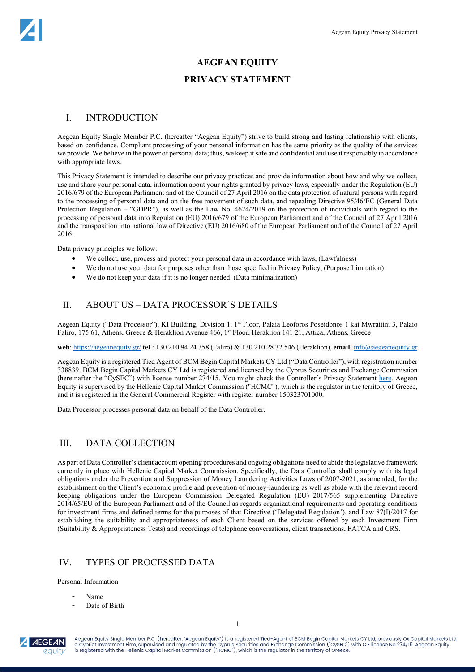### **AEGEAN EQUITY**

### **PRIVACY STATEMENT**

## I. INTRODUCTION

Aegean Equity Single Member P.C. (hereafter "Aegean Equity") strive to build strong and lasting relationship with clients, based on confidence. Compliant processing of your personal information has the same priority as the quality of the services we provide. We believe in the power of personal data; thus, we keep it safe and confidential and use it responsibly in accordance with appropriate laws.

This Privacy Statement is intended to describe our privacy practices and provide information about how and why we collect, use and share your personal data, information about your rights granted by privacy laws, especially under the Regulation (EU) 2016/679 of the European Parliament and of the Council of 27 April 2016 on the data protection of natural persons with regard to the processing of personal data and on the free movement of such data, and repealing Directive 95/46/EC (General Data Protection Regulation – "GDPR"), as well as the Law No. 4624/2019 on the protection of individuals with regard to the processing of personal data into Regulation (EU) 2016/679 of the European Parliament and of the Council of 27 April 2016 and the transposition into national law of Directive (EU) 2016/680 of the European Parliament and of the Council of 27 April 2016.

Data privacy principles we follow:

- We collect, use, process and protect your personal data in accordance with laws, (Lawfulness)
- We do not use your data for purposes other than those specified in Privacy Policy, (Purpose Limitation)
- We do not keep your data if it is no longer needed. (Data minimalization)

### II. ABOUT US – DATA PROCESSOR´S DETAILS

Aegean Equity ("Data Processor"), KI Building, Division 1, 1<sup>st</sup> Floor, Palaia Leoforos Poseidonos 1 kai Mwraitini 3, Palaio Faliro, 175 61, Athens, Greece & Heraklion Avenue 466, 1st Floor, Heraklion 141 21, Attica, Athens, Greece

**web**:<https://aegeanequity.gr/> **tel**.: +30 210 94 24 358 (Faliro) & +30 210 28 32 546 (Heraklion), **email**[: info@aegeanequity.gr](mailto:info@aegeanequity.gr)

Aegean Equity is a registered Tied Agent of BCM Begin Capital Markets CY Ltd ("Data Controller"), with registration number 338839. BCM Begin Capital Markets CY Ltd is registered and licensed by the Cyprus Securities and Exchange Commission (hereinafter the "CySEC") with license number 274/15. You might check the Controller´s Privacy Statement [here.](https://bcmcom.azureedge.net/1228/2Yo6gJfWW32EaOPs-10.-BCM---Privacy-Statement---EN---FEB-2021.pdf) Aegean Equity is supervised by the Hellenic Capital Market Commission ("HCMC"), which is the regulator in the territory of Greece, and it is registered in the General Commercial Register with register number 150323701000.

Data Processor processes personal data on behalf of the Data Controller.

## III. DATA COLLECTION

As part of Data Controller's client account opening procedures and ongoing obligations need to abide the legislative framework currently in place with Hellenic Capital Market Commission. Specifically, the Data Controller shall comply with its legal obligations under the Prevention and Suppression of Money Laundering Activities Laws of 2007-2021, as amended, for the establishment on the Client's economic profile and prevention of money-laundering as well as abide with the relevant record keeping obligations under the European Commission Delegated Regulation (EU) 2017/565 supplementing Directive 2014/65/EU of the European Parliament and of the Council as regards organizational requirements and operating conditions for investment firms and defined terms for the purposes of that Directive ('Delegated Regulation'). and Law 87(I)/2017 for establishing the suitability and appropriateness of each Client based on the services offered by each Investment Firm (Suitability & Appropriateness Tests) and recordings of telephone conversations, client transactions, FATCA and CRS.

## IV. TYPES OF PROCESSED DATA

Personal Information

- Name
- Date of Birth

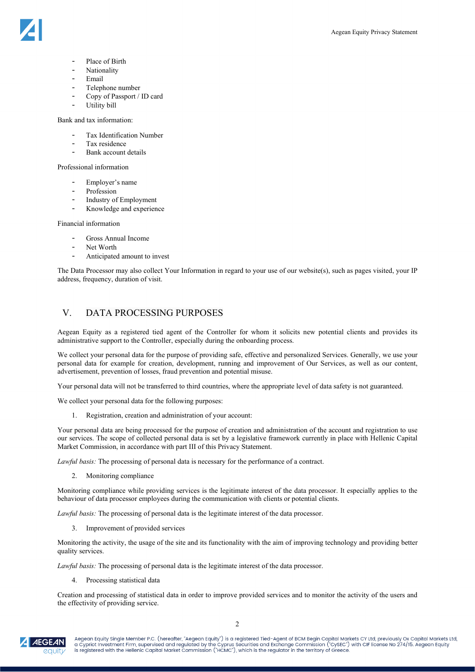

- Place of Birth
- **Nationality**
- Email
- Telephone number
- Copy of Passport / ID card
- Utility bill

Bank and tax information:

- Tax Identification Number
- Tax residence
- Bank account details

Professional information

- Employer's name
- Profession
- Industry of Employment Knowledge and experience

Financial information

- Gross Annual Income
- Net Worth
- Anticipated amount to invest

The Data Processor may also collect Your Information in regard to your use of our website(s), such as pages visited, your IP address, frequency, duration of visit.

## V. DATA PROCESSING PURPOSES

Aegean Equity as a registered tied agent of the Controller for whom it solicits new potential clients and provides its administrative support to the Controller, especially during the onboarding process.

We collect your personal data for the purpose of providing safe, effective and personalized Services. Generally, we use your personal data for example for creation, development, running and improvement of Our Services, as well as our content, advertisement, prevention of losses, fraud prevention and potential misuse.

Your personal data will not be transferred to third countries, where the appropriate level of data safety is not guaranteed.

We collect your personal data for the following purposes:

1. Registration, creation and administration of your account:

Your personal data are being processed for the purpose of creation and administration of the account and registration to use our services. The scope of collected personal data is set by a legislative framework currently in place with Hellenic Capital Market Commission, in accordance with part III of this Privacy Statement.

*Lawful basis:* The processing of personal data is necessary for the performance of a contract.

2. Monitoring compliance

Monitoring compliance while providing services is the legitimate interest of the data processor. It especially applies to the behaviour of data processor employees during the communication with clients or potential clients.

*Lawful basis:* The processing of personal data is the legitimate interest of the data processor.

3. Improvement of provided services

Monitoring the activity, the usage of the site and its functionality with the aim of improving technology and providing better quality services.

*Lawful basis:* The processing of personal data is the legitimate interest of the data processor.

4. Processing statistical data

Creation and processing of statistical data in order to improve provided services and to monitor the activity of the users and the effectivity of providing service.

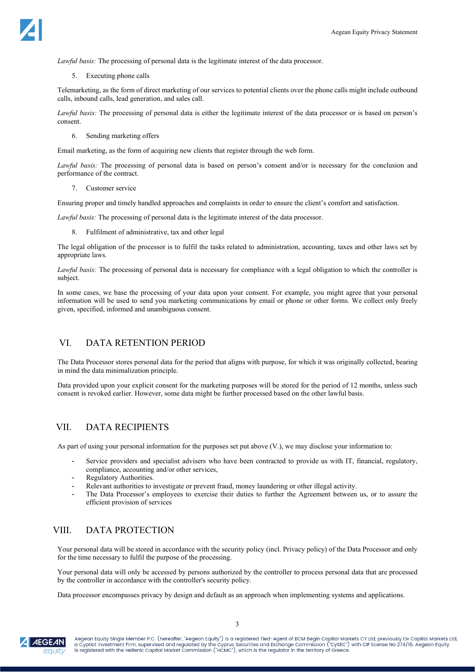

*Lawful basis:* The processing of personal data is the legitimate interest of the data processor.

5. Executing phone calls

Telemarketing, as the form of direct marketing of our services to potential clients over the phone calls might include outbound calls, inbound calls, lead generation, and sales call.

*Lawful basis:* The processing of personal data is either the legitimate interest of the data processor or is based on person's consent.

6. Sending marketing offers

Email marketing, as the form of acquiring new clients that register through the web form.

*Lawful basis:* The processing of personal data is based on person's consent and/or is necessary for the conclusion and performance of the contract.

7. Customer service

Ensuring proper and timely handled approaches and complaints in order to ensure the client's comfort and satisfaction.

*Lawful basis:* The processing of personal data is the legitimate interest of the data processor.

8. Fulfilment of administrative, tax and other legal

The legal obligation of the processor is to fulfil the tasks related to administration, accounting, taxes and other laws set by appropriate laws.

*Lawful basis:* The processing of personal data is necessary for compliance with a legal obligation to which the controller is subject.

In some cases, we base the processing of your data upon your consent. For example, you might agree that your personal information will be used to send you marketing communications by email or phone or other forms. We collect only freely given, specified, informed and unambiguous consent.

## VI. DATA RETENTION PERIOD

The Data Processor stores personal data for the period that aligns with purpose, for which it was originally collected, bearing in mind the data minimalization principle.

Data provided upon your explicit consent for the marketing purposes will be stored for the period of 12 months, unless such consent is revoked earlier. However, some data might be further processed based on the other lawful basis.

## VII. DATA RECIPIENTS

As part of using your personal information for the purposes set put above (V.), we may disclose your information to:

- Service providers and specialist advisers who have been contracted to provide us with IT, financial, regulatory, compliance, accounting and/or other services,
- Regulatory Authorities.
- Relevant authorities to investigate or prevent fraud, money laundering or other illegal activity.
- The Data Processor's employees to exercise their duties to further the Agreement between us, or to assure the efficient provision of services

## VIII. DATA PROTECTION

Your personal data will be stored in accordance with the security policy (incl. Privacy policy) of the Data Processor and only for the time necessary to fulfil the purpose of the processing.

Your personal data will only be accessed by persons authorized by the controller to process personal data that are processed by the controller in accordance with the controller's security policy.

Data processor encompasses privacy by design and default as an approach when implementing systems and applications.

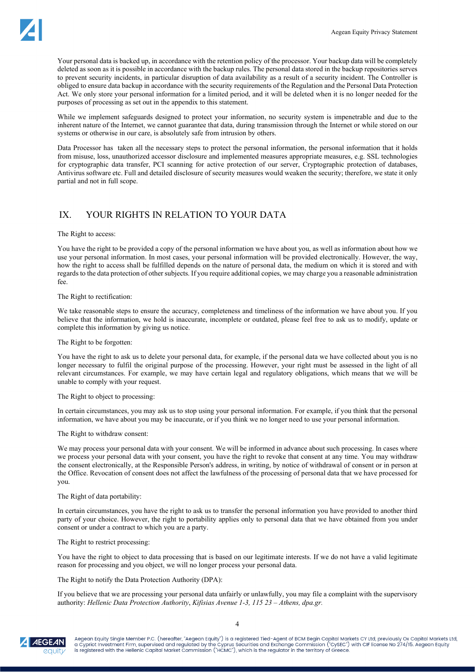Your personal data is backed up, in accordance with the retention policy of the processor. Your backup data will be completely deleted as soon as it is possible in accordance with the backup rules. The personal data stored in the backup repositories serves to prevent security incidents, in particular disruption of data availability as a result of a security incident. The Controller is obliged to ensure data backup in accordance with the security requirements of the Regulation and the Personal Data Protection Act. We only store your personal information for a limited period, and it will be deleted when it is no longer needed for the purposes of processing as set out in the appendix to this statement.

While we implement safeguards designed to protect your information, no security system is impenetrable and due to the inherent nature of the Internet, we cannot guarantee that data, during transmission through the Internet or while stored on our systems or otherwise in our care, is absolutely safe from intrusion by others.

Data Processor has taken all the necessary steps to protect the personal information, the personal information that it holds from misuse, loss, unauthorized accessor disclosure and implemented measures appropriate measures, e.g. SSL technologies for cryptographic data transfer, PCI scanning for active protection of our server, Cryptographic protection of databases, Antivirus software etc. Full and detailed disclosure of security measures would weaken the security; therefore, we state it only partial and not in full scope.

## IX. YOUR RIGHTS IN RELATION TO YOUR DATA

#### The Right to access:

You have the right to be provided a copy of the personal information we have about you, as well as information about how we use your personal information. In most cases, your personal information will be provided electronically. However, the way, how the right to access shall be fulfilled depends on the nature of personal data, the medium on which it is stored and with regards to the data protection of other subjects. If you require additional copies, we may charge you a reasonable administration fee.

### The Right to rectification:

We take reasonable steps to ensure the accuracy, completeness and timeliness of the information we have about you. If you believe that the information, we hold is inaccurate, incomplete or outdated, please feel free to ask us to modify, update or complete this information by giving us notice.

### The Right to be forgotten:

You have the right to ask us to delete your personal data, for example, if the personal data we have collected about you is no longer necessary to fulfil the original purpose of the processing. However, your right must be assessed in the light of all relevant circumstances. For example, we may have certain legal and regulatory obligations, which means that we will be unable to comply with your request.

### The Right to object to processing:

In certain circumstances, you may ask us to stop using your personal information. For example, if you think that the personal information, we have about you may be inaccurate, or if you think we no longer need to use your personal information.

### The Right to withdraw consent:

We may process your personal data with your consent. We will be informed in advance about such processing. In cases where we process your personal data with your consent, you have the right to revoke that consent at any time. You may withdraw the consent electronically, at the Responsible Person's address, in writing, by notice of withdrawal of consent or in person at the Office. Revocation of consent does not affect the lawfulness of the processing of personal data that we have processed for you.

### The Right of data portability:

In certain circumstances, you have the right to ask us to transfer the personal information you have provided to another third party of your choice. However, the right to portability applies only to personal data that we have obtained from you under consent or under a contract to which you are a party.

The Right to restrict processing:

You have the right to object to data processing that is based on our legitimate interests. If we do not have a valid legitimate reason for processing and you object, we will no longer process your personal data.

### The Right to notify the Data Protection Authority (DPA):

If you believe that we are processing your personal data unfairly or unlawfully, you may file a complaint with the supervisory authority: *Hellenic Data Protection Authority*, *Kifisias Avenue 1-3, 115 23 – Αthens, dpa.gr.*